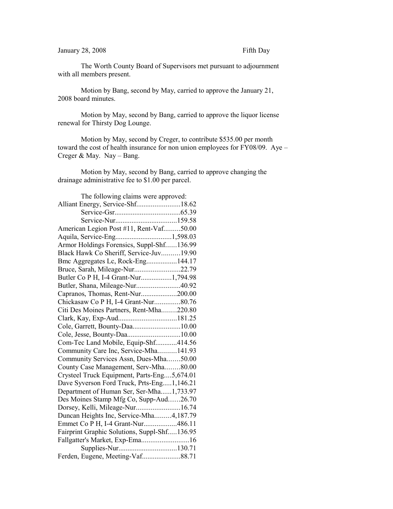## January 28, 2008 Fifth Day

The Worth County Board of Supervisors met pursuant to adjournment with all members present.

Motion by Bang, second by May, carried to approve the January 21, 2008 board minutes.

Motion by May, second by Bang, carried to approve the liquor license renewal for Thirsty Dog Lounge.

Motion by May, second by Creger, to contribute \$535.00 per month toward the cost of health insurance for non union employees for FY08/09. Aye – Creger & May. Nay – Bang.

Motion by May, second by Bang, carried to approve changing the drainage administrative fee to \$1.00 per parcel.

| The following claims were approved:          |  |  |
|----------------------------------------------|--|--|
| Alliant Energy, Service-Shf18.62             |  |  |
|                                              |  |  |
|                                              |  |  |
| American Legion Post #11, Rent-Vaf50.00      |  |  |
| Aquila, Service-Eng1,598.03                  |  |  |
| Armor Holdings Forensics, Suppl-Shf136.99    |  |  |
| Black Hawk Co Sheriff, Service-Juv19.90      |  |  |
| Bmc Aggregates Lc, Rock-Eng144.17            |  |  |
| Bruce, Sarah, Mileage-Nur22.79               |  |  |
| Butler Co P H, I-4 Grant-Nur1,794.98         |  |  |
| Butler, Shana, Mileage-Nur40.92              |  |  |
| Capranos, Thomas, Rent-Nur200.00             |  |  |
| Chickasaw Co P H, I-4 Grant-Nur80.76         |  |  |
| Citi Des Moines Partners, Rent-Mha220.80     |  |  |
|                                              |  |  |
| Cole, Garrett, Bounty-Daa10.00               |  |  |
|                                              |  |  |
| Com-Tec Land Mobile, Equip-Shf414.56         |  |  |
| Community Care Inc, Service-Mha141.93        |  |  |
| Community Services Assn, Dues-Mha50.00       |  |  |
| County Case Management, Serv-Mha80.00        |  |  |
| Crysteel Truck Equipment, Parts-Eng5,674.01  |  |  |
| Dave Syverson Ford Truck, Prts-Eng1,146.21   |  |  |
| Department of Human Ser, Ser-Mha1,733.97     |  |  |
| Des Moines Stamp Mfg Co, Supp-Aud26.70       |  |  |
| Dorsey, Kelli, Mileage-Nur16.74              |  |  |
| Duncan Heights Inc, Service-Mha4,187.79      |  |  |
| Emmet Co P H, I-4 Grant-Nur486.11            |  |  |
| Fairprint Graphic Solutions, Suppl-Shf136.95 |  |  |
| Fallgatter's Market, Exp-Ema16               |  |  |
|                                              |  |  |
| Ferden, Eugene, Meeting-Vaf88.71             |  |  |
|                                              |  |  |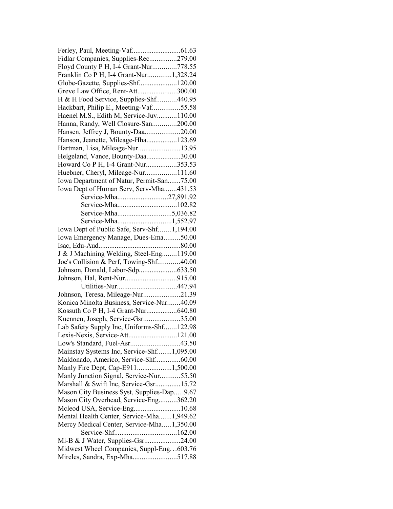| Fidlar Companies, Supplies-Rec279.00       |  |
|--------------------------------------------|--|
| Floyd County P H, I-4 Grant-Nur778.55      |  |
| Franklin Co P H, I-4 Grant-Nur1,328.24     |  |
|                                            |  |
| Greve Law Office, Rent-Att300.00           |  |
| H & H Food Service, Supplies-Shf440.95     |  |
| Hackbart, Philip E., Meeting-Vaf55.58      |  |
| Haenel M.S., Edith M, Service-Juv110.00    |  |
| Hanna, Randy, Well Closure-San200.00       |  |
| Hansen, Jeffrey J, Bounty-Daa20.00         |  |
| Hanson, Jeanette, Mileage-Hha123.69        |  |
| Hartman, Lisa, Mileage-Nur13.95            |  |
| Helgeland, Vance, Bounty-Daa30.00          |  |
| Howard Co P H, I-4 Grant-Nur353.53         |  |
| Huebner, Cheryl, Mileage-Nur111.60         |  |
| Iowa Department of Natur, Permit-San75.00  |  |
| Iowa Dept of Human Serv, Serv-Mha431.53    |  |
| Service-Mha27,891.92                       |  |
|                                            |  |
|                                            |  |
|                                            |  |
| Service-Mha1,552.97                        |  |
| Iowa Dept of Public Safe, Serv-Shf1,194.00 |  |
| Iowa Emergency Manage, Dues-Ema50.00       |  |
|                                            |  |
| J & J Machining Welding, Steel-Eng119.00   |  |
| Joe's Collision & Perf, Towing-Shf40.00    |  |
|                                            |  |
|                                            |  |
|                                            |  |
| Johnson, Teresa, Mileage-Nur21.39          |  |
| Konica Minolta Business, Service-Nur40.09  |  |
|                                            |  |
| Kuennen, Joseph, Service-Gsr35.00          |  |
| Lab Safety Supply Inc, Uniforms-Shf122.98  |  |
| Lexis-Nexis, Service-Att121.00             |  |
|                                            |  |
| Mainstay Systems Inc, Service-Shf1,095.00  |  |
| Maldonado, Americo, Service-Shf60.00       |  |
| Manly Fire Dept, Cap-E9111,500.00          |  |
| Manly Junction Signal, Service-Nur55.50    |  |
| Marshall & Swift Inc, Service-Gsr15.72     |  |
| Mason City Business Syst, Supplies-Dap9.67 |  |
| Mason City Overhead, Service-Eng362.20     |  |
| Mcleod USA, Service-Eng10.68               |  |
| Mental Health Center, Service-Mha1,949.62  |  |
| Mercy Medical Center, Service-Mha1,350.00  |  |
|                                            |  |
| Mi-B & J Water, Supplies-Gsr24.00          |  |
| Midwest Wheel Companies, Suppl-Eng603.76   |  |
| Mireles, Sandra, Exp-Mha517.88             |  |
|                                            |  |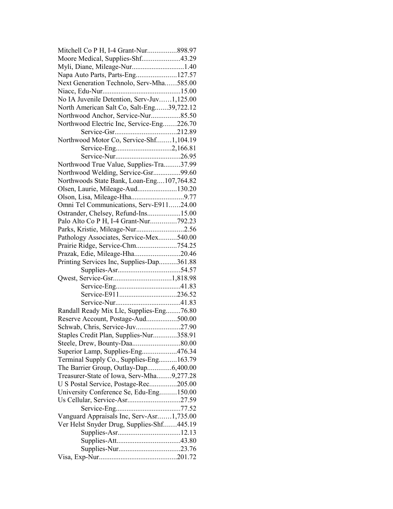| Mitchell Co P H, I-4 Grant-Nur898.97       |  |
|--------------------------------------------|--|
| Moore Medical, Supplies-Shf43.29           |  |
|                                            |  |
| Napa Auto Parts, Parts-Eng127.57           |  |
| Next Generation Technolo, Serv-Mha585.00   |  |
|                                            |  |
| No IA Juvenile Detention, Serv-Juv1,125.00 |  |
| North American Salt Co, Salt-Eng39,722.12  |  |
| Northwood Anchor, Service-Nur85.50         |  |
| Northwood Electric Inc, Service-Eng226.70  |  |
|                                            |  |
| Northwood Motor Co, Service-Shf1,104.19    |  |
|                                            |  |
|                                            |  |
| Northwood True Value, Supplies-Tra37.99    |  |
| Northwood Welding, Service-Gsr99.60        |  |
|                                            |  |
| Northwoods State Bank, Loan-Eng107,764.82  |  |
| Olsen, Laurie, Mileage-Aud130.20           |  |
|                                            |  |
| Omni Tel Communications, Serv-E91124.00    |  |
| Ostrander, Chelsey, Refund-Ins15.00        |  |
| Palo Alto Co P H, I-4 Grant-Nur792.23      |  |
| Parks, Kristie, Mileage-Nur2.56            |  |
| Pathology Associates, Service-Mex540.00    |  |
| Prairie Ridge, Service-Chm754.25           |  |
| Prazak, Edie, Mileage-Hha20.46             |  |
| Printing Services Inc, Supplies-Dap361.88  |  |
|                                            |  |
|                                            |  |
|                                            |  |
|                                            |  |
|                                            |  |
| Randall Ready Mix Llc, Supplies-Eng76.80   |  |
| Reserve Account, Postage-Aud500.00         |  |
| Schwab, Chris, Service-Juv27.90            |  |
| Staples Credit Plan, Supplies-Nur358.91    |  |
|                                            |  |
| Superior Lamp, Supplies-Eng476.34          |  |
| Terminal Supply Co., Supplies-Eng163.79    |  |
| The Barrier Group, Outlay-Dap6,400.00      |  |
| Treasurer-State of Iowa, Serv-Mha9,277.28  |  |
| U S Postal Service, Postage-Rec205.00      |  |
| University Conference Se, Edu-Eng150.00    |  |
|                                            |  |
|                                            |  |
|                                            |  |
| Vanguard Appraisals Inc, Serv-Asr1,735.00  |  |
| Ver Helst Snyder Drug, Supplies-Shf445.19  |  |
|                                            |  |
|                                            |  |
|                                            |  |
|                                            |  |